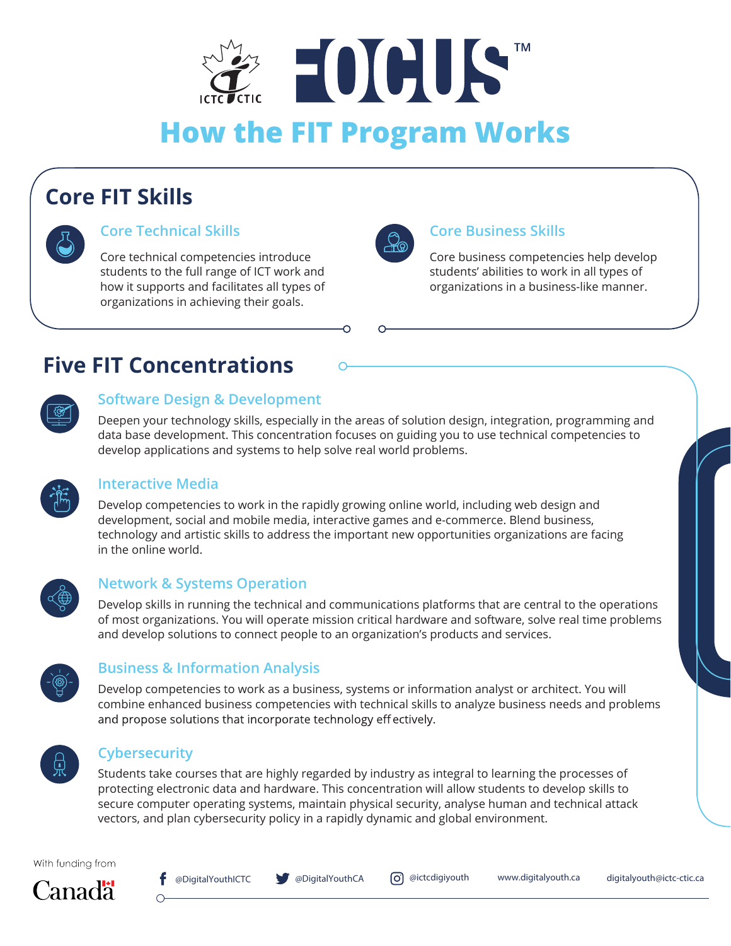

# **Core FIT Skills**



# **Core Technical Skills Core Business Skills**

Core technical competencies introduce students to the full range of ICT work and how it supports and facilitates all types of organizations in achieving their goals.



Core business competencies help develop students' abilities to work in all types of organizations in a business-like manner.

# **Five FIT Concentrations**

## **Software Design & Development**

Deepen your technology skills, especially in the areas of solution design, integration, programming and data base development. This concentration focuses on guiding you to use technical competencies to develop applications and systems to help solve real world problems.



#### **Interactive Media**

Develop competencies to work in the rapidly growing online world, including web design and development, social and mobile media, interactive games and e-commerce. Blend business, technology and artistic skills to address the important new opportunities organizations are facing in the online world.



### **Network & Systems Operation**

Develop skills in running the technical and communications platforms that are central to the operations of most organizations. You will operate mission critical hardware and software, solve real time problems and develop solutions to connect people to an organization's products and services.



## **Business & Information Analysis**

Develop competencies to work as a business, systems or information analyst or architect. You will combine enhanced business competencies with technical skills to analyze business needs and problems and propose solutions that incorporate technology effectively.



#### **Cybersecurity**

Students take courses that are highly regarded by industry as integral to learning the processes of protecting electronic data and hardware. This concentration will allow students to develop skills to secure computer operating systems, maintain physical security, analyse human and technical attack vectors, and plan cybersecurity policy in a rapidly dynamic and global environment.

With funding from